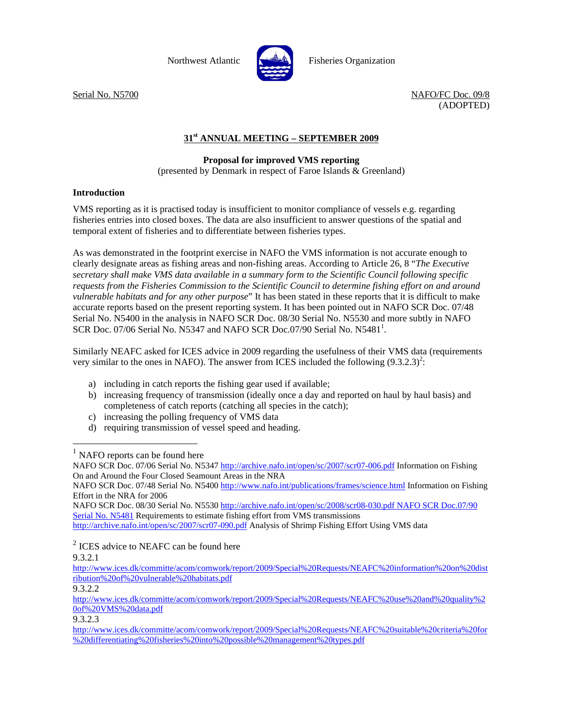

Northwest Atlantic  $\left[\begin{array}{cc} \begin{array}{cc} \end{array} & \begin{array}{cc} \end{array} & \begin{array}{cc} \end{array} & \begin{array}{cc} \end{array} & \begin{array}{cc} \end{array} & \begin{array}{cc} \end{array} & \begin{array}{cc} \end{array} & \begin{array}{cc} \end{array} & \begin{array}{cc} \end{array} & \begin{array}{cc} \end{array} & \begin{array}{cc} \end{array} & \begin{array}{cc} \end{array} & \begin{array}{cc} \end{array} & \begin{array}{cc} \end{array} & \begin{array}{cc} \end{$ 

Serial No. N5700 NAFO/FC Doc. 09/8 (ADOPTED)

## **31st ANNUAL MEETING – SEPTEMBER 2009**

## **Proposal for improved VMS reporting**

(presented by Denmark in respect of Faroe Islands & Greenland)

## **Introduction**

VMS reporting as it is practised today is insufficient to monitor compliance of vessels e.g. regarding fisheries entries into closed boxes. The data are also insufficient to answer questions of the spatial and temporal extent of fisheries and to differentiate between fisheries types.

As was demonstrated in the footprint exercise in NAFO the VMS information is not accurate enough to clearly designate areas as fishing areas and non-fishing areas. According to Article 26, 8 "*The Executive secretary shall make VMS data available in a summary form to the Scientific Council following specific requests from the Fisheries Commission to the Scientific Council to determine fishing effort on and around vulnerable habitats and for any other purpose*" It has been stated in these reports that it is difficult to make accurate reports based on the present reporting system. It has been pointed out in NAFO SCR Doc. 07/48 Serial No. N5400 in the analysis in NAFO SCR Doc. 08/30 Serial No. N5530 and more subtly in NAFO SCR Doc. 07/06 Serial No. N5347 and NAFO SCR Doc.07/90 Serial No.  $N5481<sup>1</sup>$ .

Similarly NEAFC asked for ICES advice in 2009 regarding the usefulness of their VMS data (requirements very similar to the ones in NAFO). The answer from ICES included the following  $(9.3.2.3)^2$ :

- a) including in catch reports the fishing gear used if available;
- b) increasing frequency of transmission (ideally once a day and reported on haul by haul basis) and completeness of catch reports (catching all species in the catch);
- c) increasing the polling frequency of VMS data
- d) requiring transmission of vessel speed and heading.

NAFO SCR Doc. 08/30 Serial No. N5530 http://archive.nafo.int/open/sc/2008/scr08-030.pdf NAFO SCR Doc.07/90 Serial No. N5481 Requirements to estimate fishing effort from VMS transmissions

http://archive.nafo.int/open/sc/2007/scr07-090.pdf Analysis of Shrimp Fishing Effort Using VMS data

 $2$  ICES advice to NEAFC can be found here

9.3.2.1

 $\overline{a}$ 

http://www.ices.dk/committe/acom/comwork/report/2009/Special%20Requests/NEAFC%20information%20on%20dist ribution%20of%20vulnerable%20habitats.pdf

9.3.2.2

9.3.2.3

<sup>&</sup>lt;sup>1</sup> NAFO reports can be found here<br>NAFO SCR Doc. 07/06 Serial No. N5347 http://archive.nafo.int/open/sc/2007/scr07-006.pdf Information on Fishing On and Around the Four Closed Seamount Areas in the NRA

NAFO SCR Doc. 07/48 Serial No. N5400 http://www.nafo.int/publications/frames/science.html Information on Fishing Effort in the NRA for 2006

http://www.ices.dk/committe/acom/comwork/report/2009/Special%20Requests/NEAFC%20use%20and%20quality%2 0of%20VMS%20data.pdf

http://www.ices.dk/committe/acom/comwork/report/2009/Special%20Requests/NEAFC%20suitable%20criteria%20for %20differentiating%20fisheries%20into%20possible%20management%20types.pdf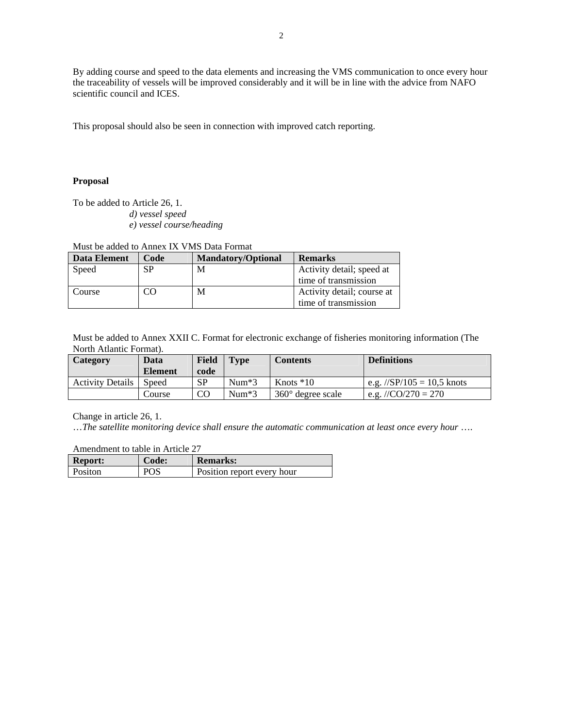By adding course and speed to the data elements and increasing the VMS communication to once every hour the traceability of vessels will be improved considerably and it will be in line with the advice from NAFO scientific council and ICES.

This proposal should also be seen in connection with improved catch reporting.

## **Proposal**

To be added to Article 26, 1.

- *d) vessel speed*
- *e) vessel course/heading*

Must be added to Annex IX VMS Data Format

| Data Element | Code | <b>Mandatory/Optional</b> | <b>Remarks</b>             |
|--------------|------|---------------------------|----------------------------|
| Speed        | SP   | M                         | Activity detail; speed at  |
|              |      |                           | time of transmission       |
| Course       | CΟ   | М                         | Activity detail; course at |
|              |      |                           | time of transmission       |

Must be added to Annex XXII C. Format for electronic exchange of fisheries monitoring information (The North Atlantic Format).

| Category                | Data<br><b>Element</b> | Field<br>code | <b>Type</b> | <b>Contents</b>            | <b>Definitions</b>                       |
|-------------------------|------------------------|---------------|-------------|----------------------------|------------------------------------------|
| <b>Activity Details</b> | Speed                  | SP            | $Num*3$     | Knots $*10$                | e.g. $\frac{\text{S}}{105} = 10.5$ knots |
|                         | Course                 | <b>CO</b>     | $Num*3$     | $360^{\circ}$ degree scale | e.g. //CO/270 = 270                      |

Change in article 26, 1.

…*The satellite monitoring device shall ensure the automatic communication at least once every hour* ….

Amendment to table in Article 27

| <b>Report:</b> | Code: | <b>Remarks:</b>            |
|----------------|-------|----------------------------|
| Positon        | POS   | Position report every hour |